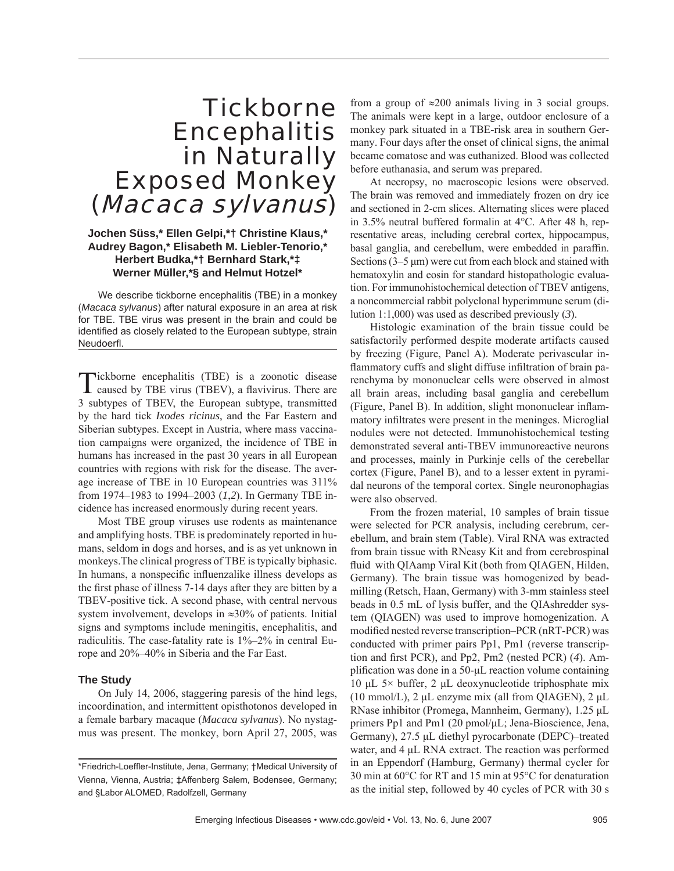# **Tickborne Encephalitis** in Naturally Exposed Monkey (Macaca sylvanus)

## **Jochen Süss,\* Ellen Gelpi,\*† Christine Klaus,\* Audrey Bagon,\* Elisabeth M. Liebler-Tenorio,\* Herbert Budka,\*† Bernhard Stark,\*‡ Werner Müller,\*§ and Helmut Hotzel\***

We describe tickborne encephalitis (TBE) in a monkey (*Macaca sylvanus*) after natural exposure in an area at risk for TBE. TBE virus was present in the brain and could be identified as closely related to the European subtype, strain Neudoerfl .

Tickborne encephalitis (TBE) is a zoonotic disease caused by TBE virus (TBEV), a flavivirus. There are 3 subtypes of TBEV, the European subtype, transmitted by the hard tick *Ixodes ricinus*, and the Far Eastern and Siberian subtypes. Except in Austria, where mass vaccination campaigns were organized, the incidence of TBE in humans has increased in the past 30 years in all European countries with regions with risk for the disease. The average increase of TBE in 10 European countries was 311% from 1974–1983 to 1994–2003 (*1*,*2*). In Germany TBE incidence has increased enormously during recent years.

Most TBE group viruses use rodents as maintenance and amplifying hosts. TBE is predominately reported in humans, seldom in dogs and horses, and is as yet unknown in monkeys.The clinical progress of TBE is typically biphasic. In humans, a nonspecific influenzalike illness develops as the first phase of illness 7-14 days after they are bitten by a TBEV-positive tick. A second phase, with central nervous system involvement, develops in ≈30% of patients. Initial signs and symptoms include meningitis, encephalitis, and radiculitis. The case-fatality rate is 1%–2% in central Europe and 20%–40% in Siberia and the Far East.

#### **The Study**

On July 14, 2006, staggering paresis of the hind legs, incoordination, and intermittent opisthotonos developed in a female barbary macaque (*Macaca sylvanus*). No nystagmus was present. The monkey, born April 27, 2005, was from a group of  $\approx 200$  animals living in 3 social groups. The animals were kept in a large, outdoor enclosure of a monkey park situated in a TBE-risk area in southern Germany. Four days after the onset of clinical signs, the animal became comatose and was euthanized. Blood was collected before euthanasia, and serum was prepared.

At necropsy, no macroscopic lesions were observed. The brain was removed and immediately frozen on dry ice and sectioned in 2-cm slices. Alternating slices were placed in 3.5% neutral buffered formalin at 4°C. After 48 h, representative areas, including cerebral cortex, hippocampus, basal ganglia, and cerebellum, were embedded in paraffin. Sections (3–5 μm) were cut from each block and stained with hematoxylin and eosin for standard histopathologic evaluation. For immunohistochemical detection of TBEV antigens, a noncommercial rabbit polyclonal hyperimmune serum (dilution 1:1,000) was used as described previously (*3*).

Histologic examination of the brain tissue could be satisfactorily performed despite moderate artifacts caused by freezing (Figure, Panel A). Moderate perivascular inflammatory cuffs and slight diffuse infiltration of brain parenchyma by mononuclear cells were observed in almost all brain areas, including basal ganglia and cerebellum (Figure, Panel B). In addition, slight mononuclear inflammatory infiltrates were present in the meninges. Microglial nodules were not detected. Immunohistochemical testing demonstrated several anti-TBEV immunoreactive neurons and processes, mainly in Purkinje cells of the cerebellar cortex (Figure, Panel B), and to a lesser extent in pyramidal neurons of the temporal cortex. Single neuronophagias were also observed.

From the frozen material, 10 samples of brain tissue were selected for PCR analysis, including cerebrum, cerebellum, and brain stem (Table). Viral RNA was extracted from brain tissue with RNeasy Kit and from cerebrospinal fluid with QIAamp Viral Kit (both from QIAGEN, Hilden, Germany). The brain tissue was homogenized by beadmilling (Retsch, Haan, Germany) with 3-mm stainless steel beads in 0.5 mL of lysis buffer, and the QIAshredder system (QIAGEN) was used to improve homogenization. A modified nested reverse transcription–PCR (nRT-PCR) was conducted with primer pairs Pp1, Pm1 (reverse transcription and first PCR), and Pp2, Pm2 (nested PCR) (4). Amplification was done in a 50-μL reaction volume containing 10 μL 5 $\times$  buffer, 2 μL deoxynucleotide triphosphate mix (10 mmol/L), 2 μL enzyme mix (all from QIAGEN), 2 μL RNase inhibitor (Promega, Mannheim, Germany), 1.25 μL primers Pp1 and Pm1 (20 pmol/μL; Jena-Bioscience, Jena, Germany), 27.5 μL diethyl pyrocarbonate (DEPC)–treated water, and 4 μL RNA extract. The reaction was performed in an Eppendorf (Hamburg, Germany) thermal cycler for 30 min at 60°C for RT and 15 min at 95°C for denaturation as the initial step, followed by 40 cycles of PCR with 30 s

<sup>\*</sup>Friedrich-Loeffler-Institute, Jena, Germany; †Medical University of Vienna, Vienna, Austria; ‡Affenberg Salem, Bodensee, Germany; and §Labor ALOMED, Radolfzell, Germany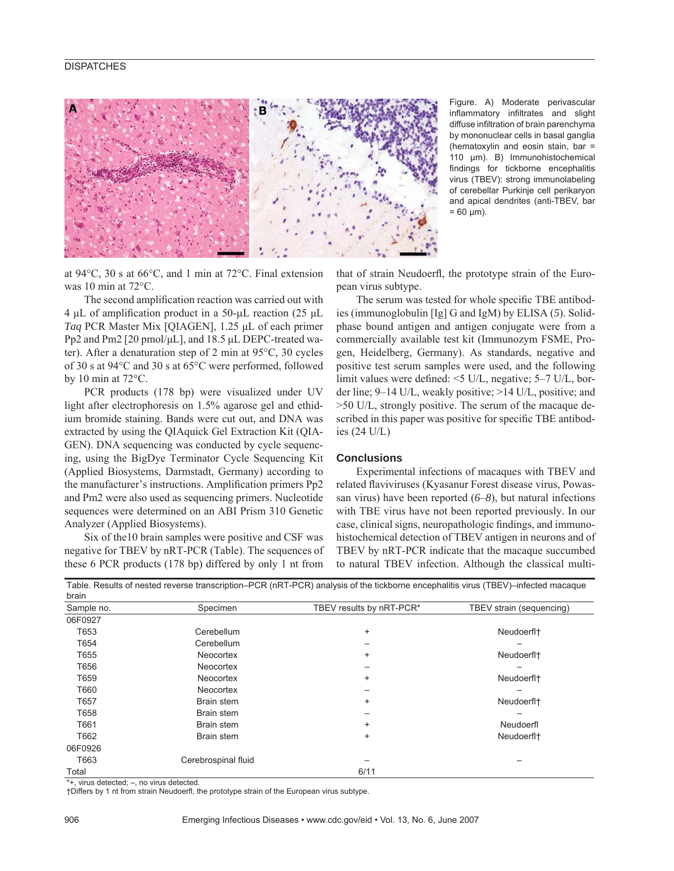### **DISPATCHES**



Figure. A) Moderate perivascular inflammatory infiltrates and slight diffuse infiltration of brain parenchyma by mononuclear cells in basal ganglia (hematoxylin and eosin stain, bar = 110 μm). B) Immunohistochemical findings for tickborne encephalitis virus (TBEV): strong immunolabeling of cerebellar Purkinje cell perikaryon and apical dendrites (anti-TBEV, bar  $= 60 \mu m$ ).

at 94°C, 30 s at 66°C, and 1 min at 72°C. Final extension was 10 min at 72°C.

The second amplification reaction was carried out with 4 μL of amplification product in a 50-μL reaction (25 μL *Taq* PCR Master Mix [QIAGEN], 1.25 μL of each primer Pp2 and Pm2 [20 pmol/μL], and 18.5 μL DEPC-treated water). After a denaturation step of 2 min at 95°C, 30 cycles of 30 s at 94°C and 30 s at 65°C were performed, followed by 10 min at 72°C.

PCR products (178 bp) were visualized under UV light after electrophoresis on 1.5% agarose gel and ethidium bromide staining. Bands were cut out, and DNA was extracted by using the QIAquick Gel Extraction Kit (QIA-GEN). DNA sequencing was conducted by cycle sequencing, using the BigDye Terminator Cycle Sequencing Kit (Applied Biosystems, Darmstadt, Germany) according to the manufacturer's instructions. Amplification primers Pp2 and Pm2 were also used as sequencing primers. Nucleotide sequences were determined on an ABI Prism 310 Genetic Analyzer (Applied Biosystems).

Six of the10 brain samples were positive and CSF was negative for TBEV by nRT-PCR (Table). The sequences of these 6 PCR products (178 bp) differed by only 1 nt from that of strain Neudoerfl, the prototype strain of the European virus subtype.

The serum was tested for whole specific TBE antibodies (immunoglobulin [Ig] G and IgM) by ELISA (*5*). Solidphase bound antigen and antigen conjugate were from a commercially available test kit (Immunozym FSME, Progen, Heidelberg, Germany). As standards, negative and positive test serum samples were used, and the following limit values were defined:  $\leq$ 5 U/L, negative; 5–7 U/L, border line; 9–14 U/L, weakly positive; >14 U/L, positive; and >50 U/L, strongly positive. The serum of the macaque described in this paper was positive for specific TBE antibodies (24 U/L)

#### **Conclusions**

Experimental infections of macaques with TBEV and related flaviviruses (Kyasanur Forest disease virus, Powassan virus) have been reported (*6*–*8*), but natural infections with TBE virus have not been reported previously. In our case, clinical signs, neuropathologic findings, and immunohistochemical detection of TBEV antigen in neurons and of TBEV by nRT-PCR indicate that the macaque succumbed to natural TBEV infection. Although the classical multi-

| brain      |                     |                          |                          |
|------------|---------------------|--------------------------|--------------------------|
| Sample no. | Specimen            | TBEV results by nRT-PCR* | TBEV strain (sequencing) |
| 06F0927    |                     |                          |                          |
| T653       | Cerebellum          | $\ddot{}$                | Neudoerfl <sup>+</sup>   |
| T654       | Cerebellum          |                          |                          |
| T655       | Neocortex           | $\ddot{}$                | Neudoerfl <sup>+</sup>   |
| T656       | Neocortex           |                          |                          |
| T659       | Neocortex           | $\ddot{}$                | Neudoerfl <sup>+</sup>   |
| T660       | Neocortex           |                          |                          |
| T657       | Brain stem          | $\ddot{}$                | Neudoerfl <sup>+</sup>   |
| T658       | Brain stem          |                          |                          |
| T661       | Brain stem          | $\ddot{}$                | Neudoerfl                |
| T662       | Brain stem          | $\ddot{}$                | Neudoerfl <sup>+</sup>   |
| 06F0926    |                     |                          |                          |
| T663       | Cerebrospinal fluid |                          |                          |
| Total      |                     | 6/11                     |                          |

Table. Results of nested reverse transcription–PCR (nRT-PCR) analysis of the tickborne encephalitis virus (TBEV)–infected macaque

\*+, virus detected; –, no virus detected.

†Differs by 1 nt from strain Neudoerfl, the prototype strain of the European virus subtype.